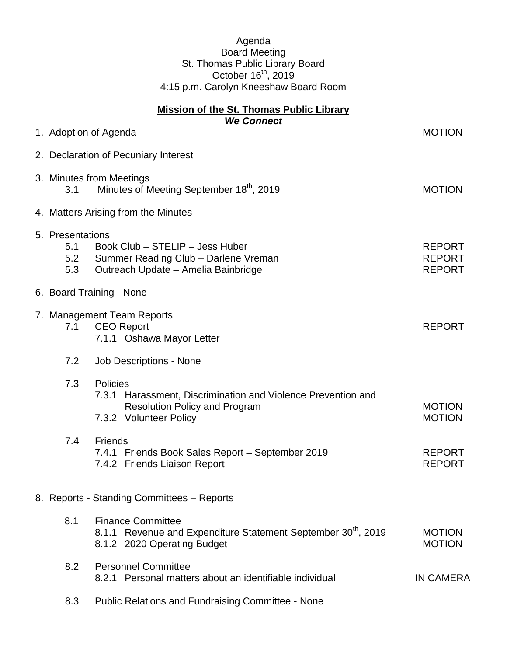## Agenda Board Meeting St. Thomas Public Library Board October  $16<sup>th</sup>$ , 2019 4:15 p.m. Carolyn Kneeshaw Board Room

| <b>Mission of the St. Thomas Public Library</b><br><b>We Connect</b> |                                            |                                                                                                                                            |                                                 |  |
|----------------------------------------------------------------------|--------------------------------------------|--------------------------------------------------------------------------------------------------------------------------------------------|-------------------------------------------------|--|
|                                                                      |                                            | 1. Adoption of Agenda                                                                                                                      | <b>MOTION</b>                                   |  |
|                                                                      |                                            | 2. Declaration of Pecuniary Interest                                                                                                       |                                                 |  |
|                                                                      | 3.1                                        | 3. Minutes from Meetings<br>Minutes of Meeting September 18th, 2019                                                                        | <b>MOTION</b>                                   |  |
|                                                                      | 4. Matters Arising from the Minutes        |                                                                                                                                            |                                                 |  |
|                                                                      | 5. Presentations<br>5.1<br>5.2<br>5.3      | Book Club - STELIP - Jess Huber<br>Summer Reading Club - Darlene Vreman<br>Outreach Update - Amelia Bainbridge                             | <b>REPORT</b><br><b>REPORT</b><br><b>REPORT</b> |  |
|                                                                      |                                            | 6. Board Training - None                                                                                                                   |                                                 |  |
|                                                                      | 7.1                                        | 7. Management Team Reports<br><b>CEO</b> Report<br>7.1.1 Oshawa Mayor Letter                                                               | <b>REPORT</b>                                   |  |
|                                                                      | 7.2                                        | Job Descriptions - None                                                                                                                    |                                                 |  |
|                                                                      | 7.3                                        | Policies<br>7.3.1 Harassment, Discrimination and Violence Prevention and<br><b>Resolution Policy and Program</b><br>7.3.2 Volunteer Policy | <b>MOTION</b><br><b>MOTION</b>                  |  |
|                                                                      | 7.4                                        | <b>Friends</b><br>7.4.1 Friends Book Sales Report - September 2019<br>7.4.2 Friends Liaison Report                                         | <b>REPORT</b><br><b>REPORT</b>                  |  |
|                                                                      | 8. Reports - Standing Committees - Reports |                                                                                                                                            |                                                 |  |
|                                                                      | 8.1                                        | <b>Finance Committee</b><br>8.1.1 Revenue and Expenditure Statement September 30 <sup>th</sup> , 2019<br>8.1.2 2020 Operating Budget       | <b>MOTION</b><br><b>MOTION</b>                  |  |
|                                                                      | 8.2                                        | <b>Personnel Committee</b><br>8.2.1 Personal matters about an identifiable individual                                                      | <b>IN CAMERA</b>                                |  |
|                                                                      | 8.3                                        | <b>Public Relations and Fundraising Committee - None</b>                                                                                   |                                                 |  |